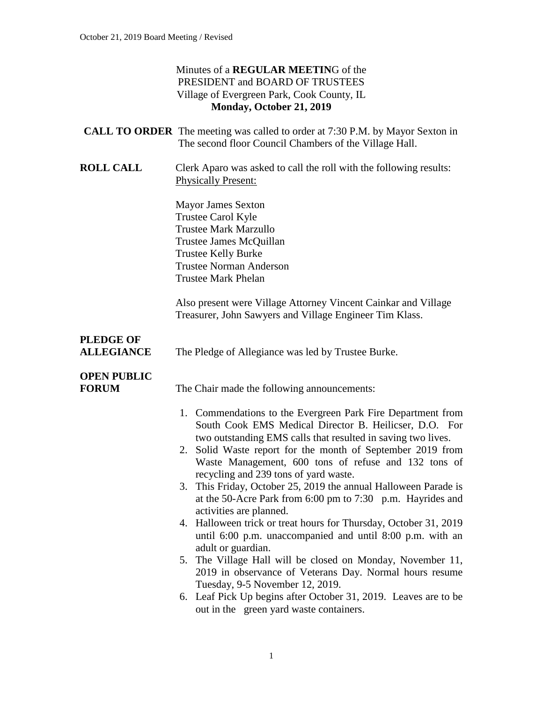#### Minutes of a **REGULAR MEETIN**G of the PRESIDENT and BOARD OF TRUSTEES Village of Evergreen Park, Cook County, IL **Monday, October 21, 2019**

|                                       | <b>CALL TO ORDER</b> The meeting was called to order at 7:30 P.M. by Mayor Sexton in<br>The second floor Council Chambers of the Village Hall.                                                                                                                                                                                                                                                                                                                                                                                                                                       |
|---------------------------------------|--------------------------------------------------------------------------------------------------------------------------------------------------------------------------------------------------------------------------------------------------------------------------------------------------------------------------------------------------------------------------------------------------------------------------------------------------------------------------------------------------------------------------------------------------------------------------------------|
| <b>ROLL CALL</b>                      | Clerk Aparo was asked to call the roll with the following results:<br><b>Physically Present:</b>                                                                                                                                                                                                                                                                                                                                                                                                                                                                                     |
|                                       | <b>Mayor James Sexton</b><br><b>Trustee Carol Kyle</b><br><b>Trustee Mark Marzullo</b><br>Trustee James McQuillan<br><b>Trustee Kelly Burke</b><br><b>Trustee Norman Anderson</b><br><b>Trustee Mark Phelan</b>                                                                                                                                                                                                                                                                                                                                                                      |
|                                       | Also present were Village Attorney Vincent Cainkar and Village<br>Treasurer, John Sawyers and Village Engineer Tim Klass.                                                                                                                                                                                                                                                                                                                                                                                                                                                            |
| <b>PLEDGE OF</b><br><b>ALLEGIANCE</b> | The Pledge of Allegiance was led by Trustee Burke.                                                                                                                                                                                                                                                                                                                                                                                                                                                                                                                                   |
| <b>OPEN PUBLIC</b><br><b>FORUM</b>    | The Chair made the following announcements:                                                                                                                                                                                                                                                                                                                                                                                                                                                                                                                                          |
|                                       | 1. Commendations to the Evergreen Park Fire Department from<br>South Cook EMS Medical Director B. Heilicser, D.O. For<br>two outstanding EMS calls that resulted in saving two lives.<br>2. Solid Waste report for the month of September 2019 from<br>Waste Management, 600 tons of refuse and 132 tons of<br>recycling and 239 tons of yard waste.<br>3. This Friday, October 25, 2019 the annual Halloween Parade is<br>at the 50-Acre Park from 6:00 pm to 7:30 p.m. Hayrides and<br>activities are planned.<br>4. Halloween trick or treat hours for Thursday, October 31, 2019 |
|                                       | until 6:00 p.m. unaccompanied and until 8:00 p.m. with an<br>adult or guardian.<br>5. The Village Hall will be closed on Monday, November 11,                                                                                                                                                                                                                                                                                                                                                                                                                                        |
|                                       | 2019 in observance of Veterans Day. Normal hours resume<br>Tuesday, 9-5 November 12, 2019.                                                                                                                                                                                                                                                                                                                                                                                                                                                                                           |
|                                       | 6. Leaf Pick Up begins after October 31, 2019. Leaves are to be<br>out in the green yard waste containers.                                                                                                                                                                                                                                                                                                                                                                                                                                                                           |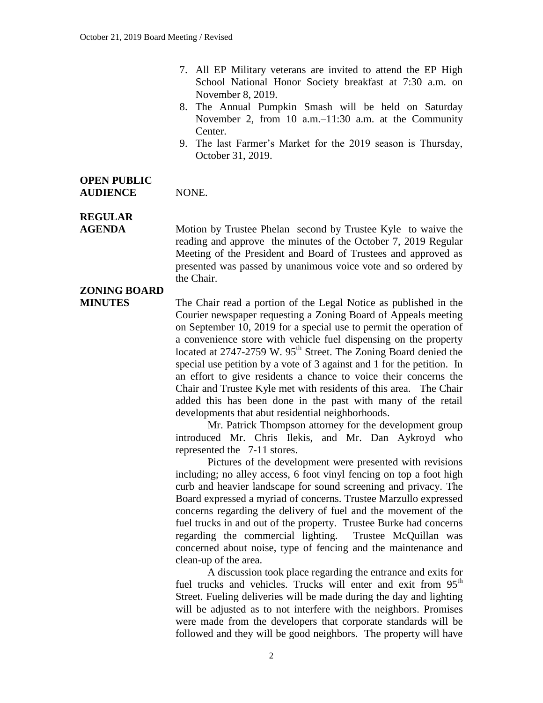- 7. All EP Military veterans are invited to attend the EP High School National Honor Society breakfast at 7:30 a.m. on November 8, 2019.
- 8. The Annual Pumpkin Smash will be held on Saturday November 2, from 10 a.m.–11:30 a.m. at the Community Center.
- 9. The last Farmer's Market for the 2019 season is Thursday, October 31, 2019.

#### **OPEN PUBLIC AUDIENCE** NONE.

## **REGULAR**

**AGENDA** Motion by Trustee Phelan second by Trustee Kyle to waive the reading and approve the minutes of the October 7, 2019 Regular Meeting of the President and Board of Trustees and approved as presented was passed by unanimous voice vote and so ordered by the Chair.

# **ZONING BOARD**

**MINUTES** The Chair read a portion of the Legal Notice as published in the Courier newspaper requesting a Zoning Board of Appeals meeting on September 10, 2019 for a special use to permit the operation of a convenience store with vehicle fuel dispensing on the property located at 2747-2759 W. 95<sup>th</sup> Street. The Zoning Board denied the special use petition by a vote of 3 against and 1 for the petition. In an effort to give residents a chance to voice their concerns the Chair and Trustee Kyle met with residents of this area. The Chair added this has been done in the past with many of the retail developments that abut residential neighborhoods.

> Mr. Patrick Thompson attorney for the development group introduced Mr. Chris Ilekis, and Mr. Dan Aykroyd who represented the 7-11 stores.

> Pictures of the development were presented with revisions including; no alley access, 6 foot vinyl fencing on top a foot high curb and heavier landscape for sound screening and privacy. The Board expressed a myriad of concerns. Trustee Marzullo expressed concerns regarding the delivery of fuel and the movement of the fuel trucks in and out of the property. Trustee Burke had concerns regarding the commercial lighting. Trustee McQuillan was concerned about noise, type of fencing and the maintenance and clean-up of the area.

> A discussion took place regarding the entrance and exits for fuel trucks and vehicles. Trucks will enter and exit from  $95<sup>th</sup>$ Street. Fueling deliveries will be made during the day and lighting will be adjusted as to not interfere with the neighbors. Promises were made from the developers that corporate standards will be followed and they will be good neighbors. The property will have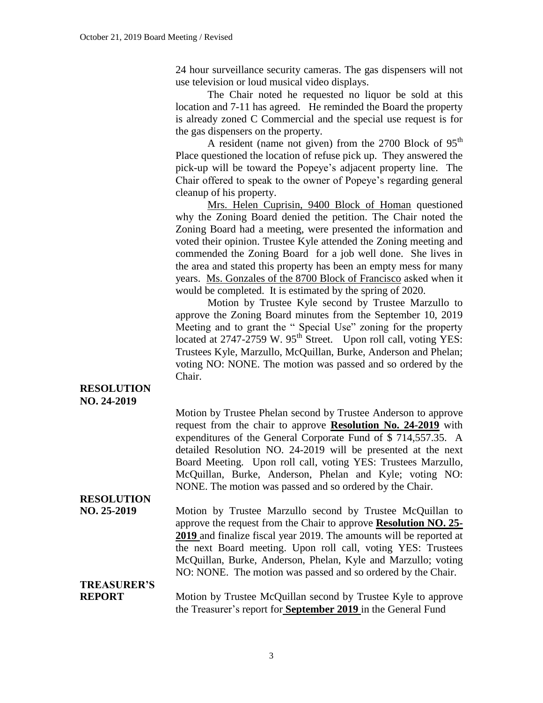24 hour surveillance security cameras. The gas dispensers will not use television or loud musical video displays.

The Chair noted he requested no liquor be sold at this location and 7-11 has agreed. He reminded the Board the property is already zoned C Commercial and the special use request is for the gas dispensers on the property.

A resident (name not given) from the 2700 Block of  $95<sup>th</sup>$ Place questioned the location of refuse pick up. They answered the pick-up will be toward the Popeye's adjacent property line. The Chair offered to speak to the owner of Popeye's regarding general cleanup of his property.

Mrs. Helen Cuprisin, 9400 Block of Homan questioned why the Zoning Board denied the petition. The Chair noted the Zoning Board had a meeting, were presented the information and voted their opinion. Trustee Kyle attended the Zoning meeting and commended the Zoning Board for a job well done. She lives in the area and stated this property has been an empty mess for many years. Ms. Gonzales of the 8700 Block of Francisco asked when it would be completed. It is estimated by the spring of 2020.

Motion by Trustee Kyle second by Trustee Marzullo to approve the Zoning Board minutes from the September 10, 2019 Meeting and to grant the " Special Use" zoning for the property located at 2747-2759 W.  $95<sup>th</sup>$  Street. Upon roll call, voting YES: Trustees Kyle, Marzullo, McQuillan, Burke, Anderson and Phelan; voting NO: NONE. The motion was passed and so ordered by the Chair.

#### **RESOLUTION NO. 24-2019**

Motion by Trustee Phelan second by Trustee Anderson to approve request from the chair to approve **Resolution No. 24-2019** with expenditures of the General Corporate Fund of \$ 714,557.35. A detailed Resolution NO. 24-2019 will be presented at the next Board Meeting. Upon roll call, voting YES: Trustees Marzullo, McQuillan, Burke, Anderson, Phelan and Kyle; voting NO: NONE. The motion was passed and so ordered by the Chair.

### **RESOLUTION**

**NO. 25-2019** Motion by Trustee Marzullo second by Trustee McQuillan to approve the request from the Chair to approve **Resolution NO. 25- 2019** and finalize fiscal year 2019. The amounts will be reported at the next Board meeting. Upon roll call, voting YES: Trustees McQuillan, Burke, Anderson, Phelan, Kyle and Marzullo; voting NO: NONE. The motion was passed and so ordered by the Chair.

## **TREASURER'S**

**REPORT** Motion by Trustee McQuillan second by Trustee Kyle to approve the Treasurer's report for **September 2019** in the General Fund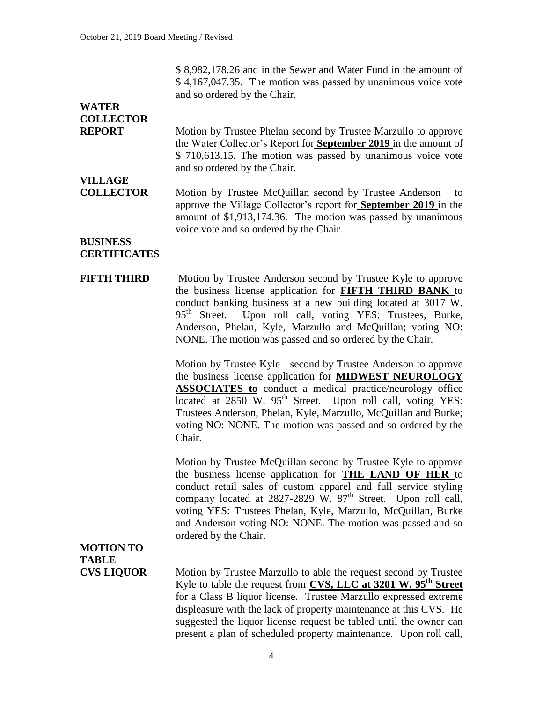**WATER** 

\$ 8,982,178.26 and in the Sewer and Water Fund in the amount of \$ 4,167,047.35. The motion was passed by unanimous voice vote and so ordered by the Chair.

| WAILK               |                                                                                                                                                                                                                                                    |
|---------------------|----------------------------------------------------------------------------------------------------------------------------------------------------------------------------------------------------------------------------------------------------|
| <b>COLLECTOR</b>    |                                                                                                                                                                                                                                                    |
| <b>REPORT</b>       | Motion by Trustee Phelan second by Trustee Marzullo to approve<br>the Water Collector's Report for <b>September 2019</b> in the amount of                                                                                                          |
|                     | \$ 710,613.15. The motion was passed by unanimous voice vote<br>and so ordered by the Chair.                                                                                                                                                       |
| <b>VILLAGE</b>      |                                                                                                                                                                                                                                                    |
| <b>COLLECTOR</b>    | Motion by Trustee McQuillan second by Trustee Anderson<br>to<br>approve the Village Collector's report for <b>September 2019</b> in the<br>amount of \$1,913,174.36. The motion was passed by unanimous<br>voice vote and so ordered by the Chair. |
| <b>BUSINESS</b>     |                                                                                                                                                                                                                                                    |
| <b>CERTIFICATES</b> |                                                                                                                                                                                                                                                    |

#### **FIFTH THIRD** Motion by Trustee Anderson second by Trustee Kyle to approve the business license application for **FIFTH THIRD BANK** to conduct banking business at a new building located at 3017 W.  $95<sup>th</sup>$  Street. Upon roll call, voting YES: Trustees, Burke, Anderson, Phelan, Kyle, Marzullo and McQuillan; voting NO: NONE. The motion was passed and so ordered by the Chair.

Motion by Trustee Kyle second by Trustee Anderson to approve the business license application for **MIDWEST NEUROLOGY ASSOCIATES to** conduct a medical practice/neurology office  $\overline{\text{located at } 2850 \text{ W}}$ .  $95^{\text{th}}$  Street. Upon roll call, voting YES: Trustees Anderson, Phelan, Kyle, Marzullo, McQuillan and Burke; voting NO: NONE. The motion was passed and so ordered by the Chair.

Motion by Trustee McQuillan second by Trustee Kyle to approve the business license application for **THE LAND OF HER** to conduct retail sales of custom apparel and full service styling company located at  $2827-2829$  W.  $87<sup>th</sup>$  Street. Upon roll call, voting YES: Trustees Phelan, Kyle, Marzullo, McQuillan, Burke and Anderson voting NO: NONE. The motion was passed and so ordered by the Chair.

## **MOTION TO TABLE**

**CVS LIQUOR** Motion by Trustee Marzullo to able the request second by Trustee Kyle to table the request from **CVS, LLC at 3201 W. 95th Street** for a Class B liquor license. Trustee Marzullo expressed extreme displeasure with the lack of property maintenance at this CVS. He suggested the liquor license request be tabled until the owner can present a plan of scheduled property maintenance. Upon roll call,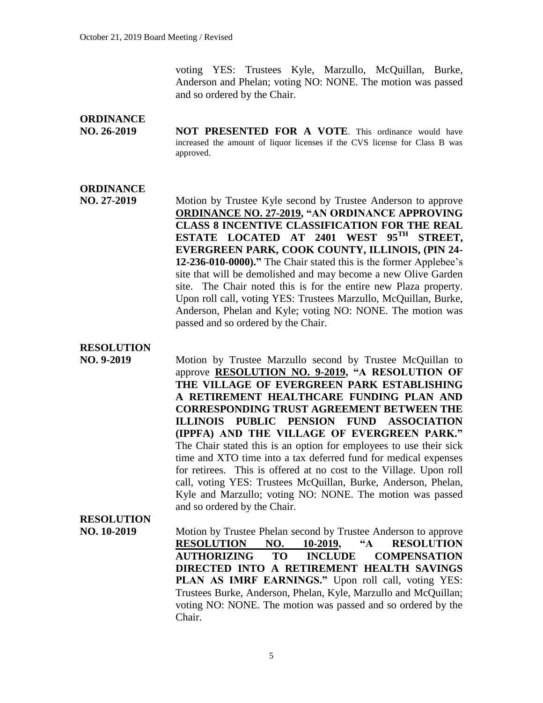voting YES: Trustees Kyle, Marzullo, McQuillan, Burke, Anderson and Phelan; voting NO: NONE. The motion was passed and so ordered by the Chair.

#### **ORDINANCE NO. 26-2019 NOT PRESENTED FOR A VOTE**. This ordinance would have increased the amount of liquor licenses if the CVS license for Class B was approved.

#### **ORDINANCE**

**NO. 27-2019** Motion by Trustee Kyle second by Trustee Anderson to approve **ORDINANCE NO. 27-2019, "AN ORDINANCE APPROVING CLASS 8 INCENTIVE CLASSIFICATION FOR THE REAL ESTATE LOCATED AT 2401 WEST 95TH STREET, EVERGREEN PARK, COOK COUNTY, ILLINOIS, (PIN 24- 12-236-010-0000)."** The Chair stated this is the former Applebee's site that will be demolished and may become a new Olive Garden site. The Chair noted this is for the entire new Plaza property. Upon roll call, voting YES: Trustees Marzullo, McQuillan, Burke, Anderson, Phelan and Kyle; voting NO: NONE. The motion was passed and so ordered by the Chair.

#### **RESOLUTION**

**NO. 9-2019** Motion by Trustee Marzullo second by Trustee McQuillan to approve **RESOLUTION NO. 9-2019, "A RESOLUTION OF THE VILLAGE OF EVERGREEN PARK ESTABLISHING A RETIREMENT HEALTHCARE FUNDING PLAN AND CORRESPONDING TRUST AGREEMENT BETWEEN THE ILLINOIS PUBLIC PENSION FUND ASSOCIATION (IPPFA) AND THE VILLAGE OF EVERGREEN PARK."**  The Chair stated this is an option for employees to use their sick time and XTO time into a tax deferred fund for medical expenses for retirees. This is offered at no cost to the Village. Upon roll call, voting YES: Trustees McQuillan, Burke, Anderson, Phelan, Kyle and Marzullo; voting NO: NONE. The motion was passed and so ordered by the Chair.

### **RESOLUTION**

**NO. 10-2019** Motion by Trustee Phelan second by Trustee Anderson to approve **RESOLUTION NO. 10-2019, "A RESOLUTION AUTHORIZING TO INCLUDE COMPENSATION DIRECTED INTO A RETIREMENT HEALTH SAVINGS PLAN AS IMRF EARNINGS."** Upon roll call, voting YES: Trustees Burke, Anderson, Phelan, Kyle, Marzullo and McQuillan; voting NO: NONE. The motion was passed and so ordered by the Chair.